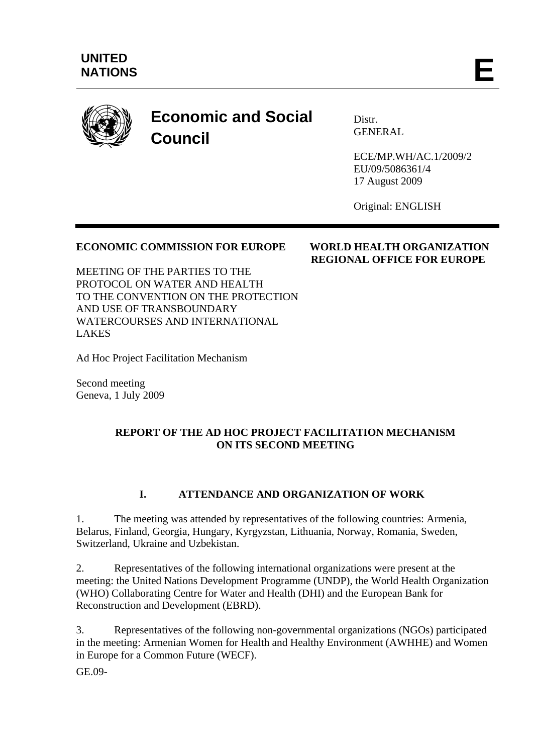

# **Economic and Social Council**

**Distr** GENERAL

ECE/MP.WH/AC.1/2009/2 EU/09/5086361/4 17 August 2009

Original: ENGLISH

 **REGIONAL OFFICE FOR EUROPE** 

## **ECONOMIC COMMISSION FOR EUROPE WORLD HEALTH ORGANIZATION**

MEETING OF THE PARTIES TO THE PROTOCOL ON WATER AND HEALTH TO THE CONVENTION ON THE PROTECTION AND USE OF TRANSBOUNDARY WATERCOURSES AND INTERNATIONAL LAKES

Ad Hoc Project Facilitation Mechanism

Second meeting Geneva, 1 July 2009

### **REPORT OF THE AD HOC PROJECT FACILITATION MECHANISM ON ITS SECOND MEETING**

## **I. ATTENDANCE AND ORGANIZATION OF WORK**

1. The meeting was attended by representatives of the following countries: Armenia, Belarus, Finland, Georgia, Hungary, Kyrgyzstan, Lithuania, Norway, Romania, Sweden, Switzerland, Ukraine and Uzbekistan.

2. Representatives of the following international organizations were present at the meeting: the United Nations Development Programme (UNDP), the World Health Organization (WHO) Collaborating Centre for Water and Health (DHI) and the European Bank for Reconstruction and Development (EBRD).

3. Representatives of the following non-governmental organizations (NGOs) participated in the meeting: Armenian Women for Health and Healthy Environment (AWHHE) and Women in Europe for a Common Future (WECF).

GE.09-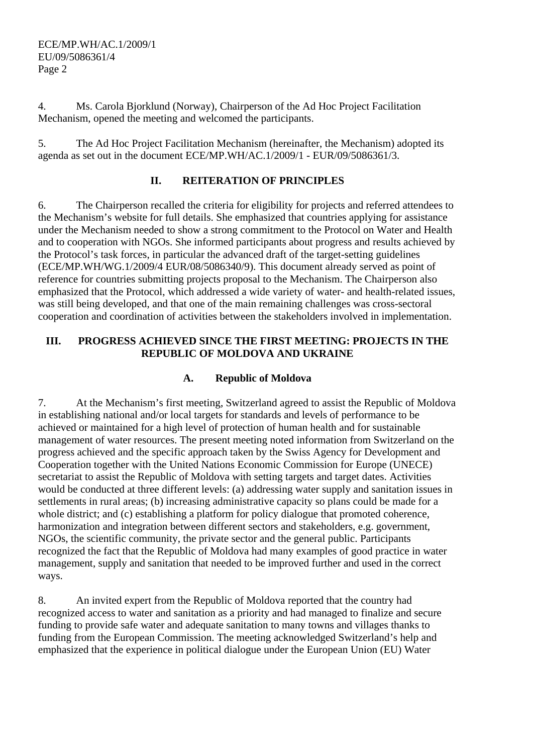ECE/MP.WH/AC.1/2009/1 EU/09/5086361/4 Page 2

4. Ms. Carola Bjorklund (Norway), Chairperson of the Ad Hoc Project Facilitation Mechanism, opened the meeting and welcomed the participants.

5. The Ad Hoc Project Facilitation Mechanism (hereinafter, the Mechanism) adopted its agenda as set out in the document ECE/MP.WH/AC.1/2009/1 - EUR/09/5086361/3.

## **II. REITERATION OF PRINCIPLES**

6. The Chairperson recalled the criteria for eligibility for projects and referred attendees to the Mechanism's website for full details. She emphasized that countries applying for assistance under the Mechanism needed to show a strong commitment to the Protocol on Water and Health and to cooperation with NGOs. She informed participants about progress and results achieved by the Protocol's task forces, in particular the advanced draft of the target-setting guidelines (ECE/MP.WH/WG.1/2009/4 EUR/08/5086340/9). This document already served as point of reference for countries submitting projects proposal to the Mechanism. The Chairperson also emphasized that the Protocol, which addressed a wide variety of water- and health-related issues, was still being developed, and that one of the main remaining challenges was cross-sectoral cooperation and coordination of activities between the stakeholders involved in implementation.

### **III. PROGRESS ACHIEVED SINCE THE FIRST MEETING: PROJECTS IN THE REPUBLIC OF MOLDOVA AND UKRAINE**

#### **A. Republic of Moldova**

7. At the Mechanism's first meeting, Switzerland agreed to assist the Republic of Moldova in establishing national and/or local targets for standards and levels of performance to be achieved or maintained for a high level of protection of human health and for sustainable management of water resources. The present meeting noted information from Switzerland on the progress achieved and the specific approach taken by the Swiss Agency for Development and Cooperation together with the United Nations Economic Commission for Europe (UNECE) secretariat to assist the Republic of Moldova with setting targets and target dates. Activities would be conducted at three different levels: (a) addressing water supply and sanitation issues in settlements in rural areas; (b) increasing administrative capacity so plans could be made for a whole district; and (c) establishing a platform for policy dialogue that promoted coherence, harmonization and integration between different sectors and stakeholders, e.g. government, NGOs, the scientific community, the private sector and the general public. Participants recognized the fact that the Republic of Moldova had many examples of good practice in water management, supply and sanitation that needed to be improved further and used in the correct ways.

8. An invited expert from the Republic of Moldova reported that the country had recognized access to water and sanitation as a priority and had managed to finalize and secure funding to provide safe water and adequate sanitation to many towns and villages thanks to funding from the European Commission. The meeting acknowledged Switzerland's help and emphasized that the experience in political dialogue under the European Union (EU) Water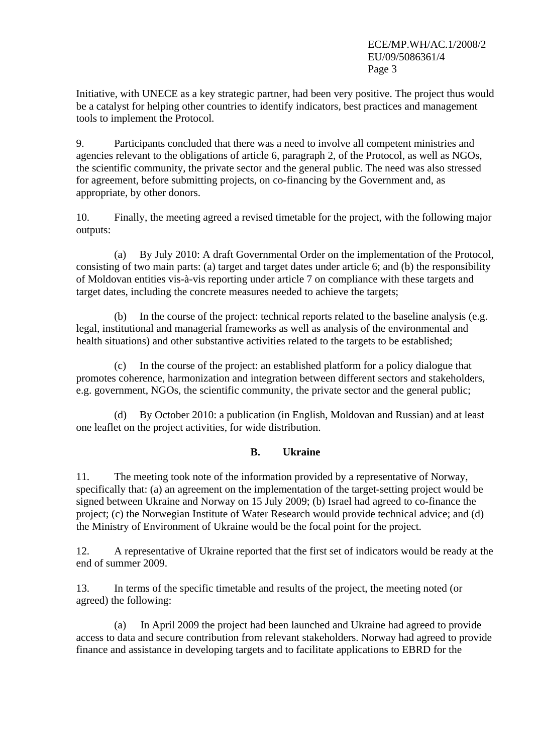Initiative, with UNECE as a key strategic partner, had been very positive. The project thus would be a catalyst for helping other countries to identify indicators, best practices and management tools to implement the Protocol.

9. Participants concluded that there was a need to involve all competent ministries and agencies relevant to the obligations of article 6, paragraph 2, of the Protocol, as well as NGOs, the scientific community, the private sector and the general public. The need was also stressed for agreement, before submitting projects, on co-financing by the Government and, as appropriate, by other donors.

10. Finally, the meeting agreed a revised timetable for the project, with the following major outputs:

(a) By July 2010: A draft Governmental Order on the implementation of the Protocol, consisting of two main parts: (a) target and target dates under article 6; and (b) the responsibility of Moldovan entities vis-à-vis reporting under article 7 on compliance with these targets and target dates, including the concrete measures needed to achieve the targets;

(b) In the course of the project: technical reports related to the baseline analysis (e.g. legal, institutional and managerial frameworks as well as analysis of the environmental and health situations) and other substantive activities related to the targets to be established;

(c) In the course of the project: an established platform for a policy dialogue that promotes coherence, harmonization and integration between different sectors and stakeholders, e.g. government, NGOs, the scientific community, the private sector and the general public;

(d) By October 2010: a publication (in English, Moldovan and Russian) and at least one leaflet on the project activities, for wide distribution.

#### **B. Ukraine**

11. The meeting took note of the information provided by a representative of Norway, specifically that: (a) an agreement on the implementation of the target-setting project would be signed between Ukraine and Norway on 15 July 2009; (b) Israel had agreed to co-finance the project; (c) the Norwegian Institute of Water Research would provide technical advice; and (d) the Ministry of Environment of Ukraine would be the focal point for the project.

12. A representative of Ukraine reported that the first set of indicators would be ready at the end of summer 2009.

13. In terms of the specific timetable and results of the project, the meeting noted (or agreed) the following:

(a) In April 2009 the project had been launched and Ukraine had agreed to provide access to data and secure contribution from relevant stakeholders. Norway had agreed to provide finance and assistance in developing targets and to facilitate applications to EBRD for the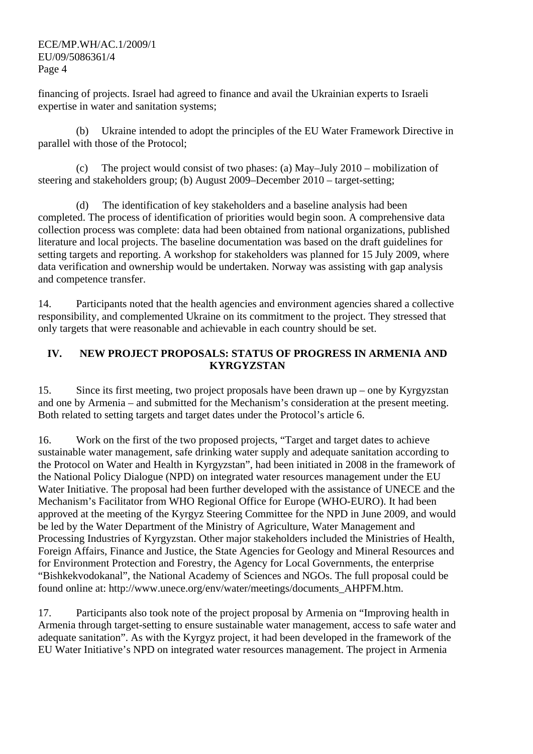financing of projects. Israel had agreed to finance and avail the Ukrainian experts to Israeli expertise in water and sanitation systems;

(b) Ukraine intended to adopt the principles of the EU Water Framework Directive in parallel with those of the Protocol;

(c) The project would consist of two phases: (a) May–July 2010 – mobilization of steering and stakeholders group; (b) August 2009–December 2010 – target-setting;

(d) The identification of key stakeholders and a baseline analysis had been completed. The process of identification of priorities would begin soon. A comprehensive data collection process was complete: data had been obtained from national organizations, published literature and local projects. The baseline documentation was based on the draft guidelines for setting targets and reporting. A workshop for stakeholders was planned for 15 July 2009, where data verification and ownership would be undertaken. Norway was assisting with gap analysis and competence transfer.

14. Participants noted that the health agencies and environment agencies shared a collective responsibility, and complemented Ukraine on its commitment to the project. They stressed that only targets that were reasonable and achievable in each country should be set.

#### **IV. NEW PROJECT PROPOSALS: STATUS OF PROGRESS IN ARMENIA AND KYRGYZSTAN**

15. Since its first meeting, two project proposals have been drawn up – one by Kyrgyzstan and one by Armenia – and submitted for the Mechanism's consideration at the present meeting. Both related to setting targets and target dates under the Protocol's article 6.

16. Work on the first of the two proposed projects, "Target and target dates to achieve sustainable water management, safe drinking water supply and adequate sanitation according to the Protocol on Water and Health in Kyrgyzstan", had been initiated in 2008 in the framework of the National Policy Dialogue (NPD) on integrated water resources management under the EU Water Initiative. The proposal had been further developed with the assistance of UNECE and the Mechanism's Facilitator from WHO Regional Office for Europe (WHO-EURO). It had been approved at the meeting of the Kyrgyz Steering Committee for the NPD in June 2009, and would be led by the Water Department of the Ministry of Agriculture, Water Management and Processing Industries of Kyrgyzstan. Other major stakeholders included the Ministries of Health, Foreign Affairs, Finance and Justice, the State Agencies for Geology and Mineral Resources and for Environment Protection and Forestry, the Agency for Local Governments, the enterprise "Bishkekvodokanal", the National Academy of Sciences and NGOs. The full proposal could be found online at: http://www.unece.org/env/water/meetings/documents\_AHPFM.htm.

17. Participants also took note of the project proposal by Armenia on "Improving health in Armenia through target-setting to ensure sustainable water management, access to safe water and adequate sanitation". As with the Kyrgyz project, it had been developed in the framework of the EU Water Initiative's NPD on integrated water resources management. The project in Armenia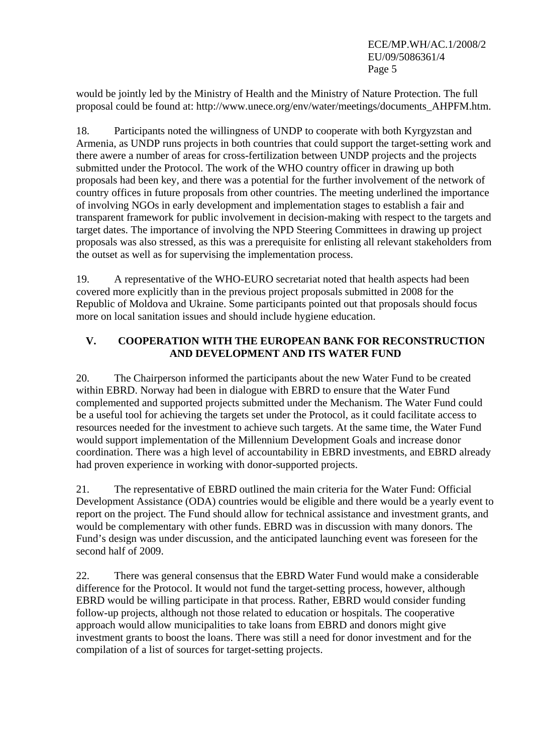ECE/MP.WH/AC.1/2008/2 EU/09/5086361/4 Page 5

would be jointly led by the Ministry of Health and the Ministry of Nature Protection. The full proposal could be found at: http://www.unece.org/env/water/meetings/documents\_AHPFM.htm.

18. Participants noted the willingness of UNDP to cooperate with both Kyrgyzstan and Armenia, as UNDP runs projects in both countries that could support the target-setting work and there awere a number of areas for cross-fertilization between UNDP projects and the projects submitted under the Protocol. The work of the WHO country officer in drawing up both proposals had been key, and there was a potential for the further involvement of the network of country offices in future proposals from other countries. The meeting underlined the importance of involving NGOs in early development and implementation stages to establish a fair and transparent framework for public involvement in decision-making with respect to the targets and target dates. The importance of involving the NPD Steering Committees in drawing up project proposals was also stressed, as this was a prerequisite for enlisting all relevant stakeholders from the outset as well as for supervising the implementation process.

19. A representative of the WHO-EURO secretariat noted that health aspects had been covered more explicitly than in the previous project proposals submitted in 2008 for the Republic of Moldova and Ukraine. Some participants pointed out that proposals should focus more on local sanitation issues and should include hygiene education.

## **V. COOPERATION WITH THE EUROPEAN BANK FOR RECONSTRUCTION AND DEVELOPMENT AND ITS WATER FUND**

20. The Chairperson informed the participants about the new Water Fund to be created within EBRD. Norway had been in dialogue with EBRD to ensure that the Water Fund complemented and supported projects submitted under the Mechanism. The Water Fund could be a useful tool for achieving the targets set under the Protocol, as it could facilitate access to resources needed for the investment to achieve such targets. At the same time, the Water Fund would support implementation of the Millennium Development Goals and increase donor coordination. There was a high level of accountability in EBRD investments, and EBRD already had proven experience in working with donor-supported projects.

21. The representative of EBRD outlined the main criteria for the Water Fund: Official Development Assistance (ODA) countries would be eligible and there would be a yearly event to report on the project. The Fund should allow for technical assistance and investment grants, and would be complementary with other funds. EBRD was in discussion with many donors. The Fund's design was under discussion, and the anticipated launching event was foreseen for the second half of 2009.

22. There was general consensus that the EBRD Water Fund would make a considerable difference for the Protocol. It would not fund the target-setting process, however, although EBRD would be willing participate in that process. Rather, EBRD would consider funding follow-up projects, although not those related to education or hospitals. The cooperative approach would allow municipalities to take loans from EBRD and donors might give investment grants to boost the loans. There was still a need for donor investment and for the compilation of a list of sources for target-setting projects.